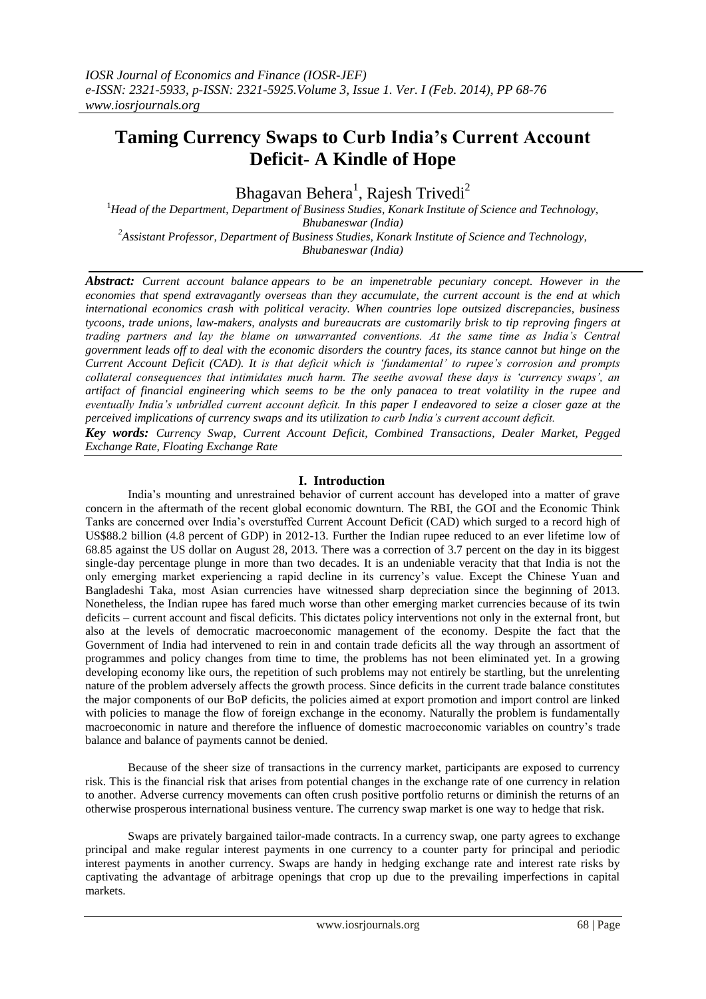# **Taming Currency Swaps to Curb India's Current Account Deficit- A Kindle of Hope**

Bhagavan Behera<sup>1</sup>, Rajesh Trivedi<sup>2</sup>

<sup>1</sup>*Head of the Department*, *Department of Business Studies, Konark Institute of Science and Technology, Bhubaneswar (India) <sup>2</sup>Assistant Professor, Department of Business Studies, Konark Institute of Science and Technology, Bhubaneswar (India)*

*Abstract: Current account balance appears to be an impenetrable pecuniary concept. However in the economies that spend extravagantly overseas than they accumulate, the current account is the end at which international economics crash with political veracity. When countries lope outsized discrepancies, business tycoons, trade unions, law-makers, analysts and bureaucrats are customarily brisk to tip reproving fingers at trading partners and lay the blame on unwarranted conventions. At the same time as India's Central government leads off to deal with the economic disorders the country faces, its stance cannot but hinge on the Current Account Deficit (CAD). It is that deficit which is 'fundamental' to rupee's corrosion and prompts collateral consequences that intimidates much harm. The seethe avowal these days is 'currency swaps', an artifact of financial engineering which seems to be the only panacea to treat volatility in the rupee and eventually India's unbridled current account deficit. In this paper I endeavored to seize a closer gaze at the perceived implications of currency swaps and its utilization to curb India's current account deficit.*

*Key words: Currency Swap, Current Account Deficit, Combined Transactions, Dealer Market, Pegged Exchange Rate, Floating Exchange Rate*

## **I. Introduction**

India's mounting and unrestrained behavior of current account has developed into a matter of grave concern in the aftermath of the recent global economic downturn. The RBI, the GOI and the Economic Think Tanks are concerned over India's overstuffed Current Account Deficit (CAD) which surged to a record high of US\$88.2 billion (4.8 percent of GDP) in 2012-13. Further the Indian rupee reduced to an ever lifetime low of 68.85 against the US dollar on August 28, 2013. There was a correction of 3.7 percent on the day in its biggest single-day percentage plunge in more than two decades. It is an undeniable veracity that that India is not the only emerging market experiencing a rapid decline in its currency's value. Except the Chinese Yuan and Bangladeshi Taka, most Asian currencies have witnessed sharp depreciation since the beginning of 2013. Nonetheless, the Indian rupee has fared much worse than other emerging market currencies because of its twin deficits – current account and fiscal deficits. This dictates policy interventions not only in the external front, but also at the levels of democratic macroeconomic management of the economy. Despite the fact that the Government of India had intervened to rein in and contain trade deficits all the way through an assortment of programmes and policy changes from time to time, the problems has not been eliminated yet. In a growing developing economy like ours, the repetition of such problems may not entirely be startling, but the unrelenting nature of the problem adversely affects the growth process. Since deficits in the current trade balance constitutes the major components of our BoP deficits, the policies aimed at export promotion and import control are linked with policies to manage the flow of foreign exchange in the economy. Naturally the problem is fundamentally macroeconomic in nature and therefore the influence of domestic macroeconomic variables on country's trade balance and balance of payments cannot be denied.

Because of the sheer size of transactions in the currency market, participants are exposed to currency risk. This is the financial risk that arises from potential changes in the exchange rate of one currency in relation to another. Adverse currency movements can often crush positive portfolio returns or diminish the returns of an otherwise prosperous international business venture. The currency swap market is one way to hedge that risk.

Swaps are privately bargained tailor-made contracts. In a currency swap, one party agrees to exchange principal and make regular interest payments in one currency to a counter party for principal and periodic interest payments in another currency. Swaps are handy in hedging exchange rate and interest rate risks by captivating the advantage of arbitrage openings that crop up due to the prevailing imperfections in capital markets.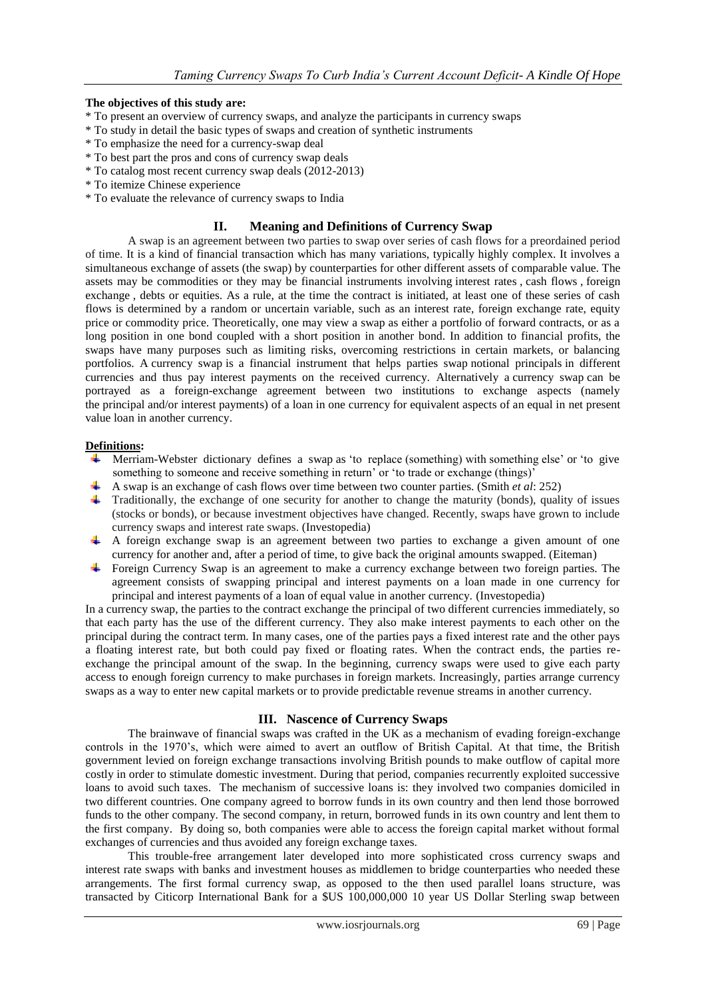## **The objectives of this study are:**

- \* To present an overview of currency swaps, and analyze the participants in currency swaps
- \* To study in detail the basic types of swaps and creation of synthetic instruments
- \* To emphasize the need for a currency-swap deal
- \* To best part the pros and cons of currency swap deals
- \* To catalog most recent currency swap deals (2012-2013)
- \* To itemize Chinese experience
- \* To evaluate the relevance of currency swaps to India

## **II. Meaning and Definitions of Currency Swap**

A swap is an agreement between two parties to swap over series of cash flows for a preordained period of time. It is a kind of financial transaction which has many variations, typically highly complex. It involves a simultaneous exchange of assets (the swap) by counterparties for other different assets of comparable value. The assets may be commodities or they may be financial instruments involving [interest rates](http://www.teachmefinance.com/kindsofinterestrates.html) , [cash flows](http://www.teachmefinance.com/futurevalueofanunevencashflow.html) , [foreign](http://www.teachmefinance.com/forex.html)  [exchange](http://www.teachmefinance.com/forex.html) , debts or equities. As a rule, at the time the contract is initiated, at least one of these series of cash flows is determined by a random or uncertain variable, such as an interest rate, foreign exchange rate, equity price or commodity price. Theoretically, one may view a swap as either a portfolio of forward contracts, or as a long position in one bond coupled with a short position in another bond. In addition to financial profits, the swaps have many purposes such as limiting risks, overcoming restrictions in certain markets, or balancing portfolios. A [currency swap](http://www.investopedia.com/terms/c/currencyswap.asp) is a financial instrument that helps parties swap [notional principals](http://www.investopedia.com/terms/n/notionalprincipalamount.asp) in different currencies and thus pay interest payments on the received currency. Alternatively a currency swap can be portrayed as a foreign-exchange agreement between two institutions to exchange aspects (namely the [principal](http://en.wikipedia.org/wiki/Loan) and/or [interest](http://en.wikipedia.org/wiki/Interest) payments) of a [loan](http://en.wikipedia.org/wiki/Loan) in one currency for equivalent aspects of an equal in [net present](http://en.wikipedia.org/wiki/Net_present_value)  [value](http://en.wikipedia.org/wiki/Net_present_value) loan in another currency.

#### **Definitions:**

- Merriam-Webster dictionary defines a swap as 'to replace (something) with something else' or 'togive something to someone and receive something in return' or 'to trade or exchange (things)'
- A swap is an exchange of cash flows over time between two counter parties. (Smith *et al*: 252)
- **Traditionally, the exchange of one security for another to change the maturity (bonds), quality of issues** (stocks or bonds), or because investment objectives have changed. Recently, swaps have grown to include currency swaps and interest rate swaps. (Investopedia)
- A foreign exchange swap is an agreement between two parties to exchange a given amount of one currency for another and, after a period of time, to give back the original amounts swapped. (Eiteman)
- Foreign Currency Swap is an agreement to make a currency exchange between two foreign parties. The agreement consists of swapping principal and interest payments on a loan made in one currency for principal and interest payments of a loan of equal value in another currency. (Investopedia)

In a currency swap, the parties to the contract exchange the principal of two different currencies immediately, so that each party has the use of the different currency. They also make interest payments to each other on the principal during the contract term. In many cases, one of the parties pays a fixed interest rate and the other pays a floating interest rate, but both could pay fixed or floating rates. When the contract ends, the parties reexchange the principal amount of the swap. In the beginning, currency swaps were used to give each party access to enough foreign currency to make purchases in foreign markets. Increasingly, parties arrange currency swaps as a way to enter new capital markets or to provide predictable revenue streams in another currency.

#### **III. Nascence of Currency Swaps**

The brainwave of financial swaps was crafted in the UK as a mechanism of evading foreign-exchange controls in the 1970's, which were aimed to avert an outflow of British Capital. At that time, the British government levied on foreign exchange transactions involving British pounds to make outflow of capital more costly in order to stimulate domestic investment. During that period, companies recurrently exploited successive loans to avoid such taxes. The mechanism of successive loans is: they involved two companies domiciled in two different countries. One company agreed to borrow funds in its own country and then lend those borrowed funds to the other company. The second company, in return, borrowed funds in its own country and lent them to the first company. By doing so, both companies were able to access the foreign capital market without formal exchanges of currencies and thus avoided any foreign exchange taxes.

This trouble-free arrangement later developed into more sophisticated cross currency swaps and interest rate swaps with banks and investment houses as middlemen to bridge counterparties who needed these arrangements. The first formal currency swap, as opposed to the then used parallel loans structure, was transacted by Citicorp International Bank for a \$US 100,000,000 10 year US Dollar Sterling swap between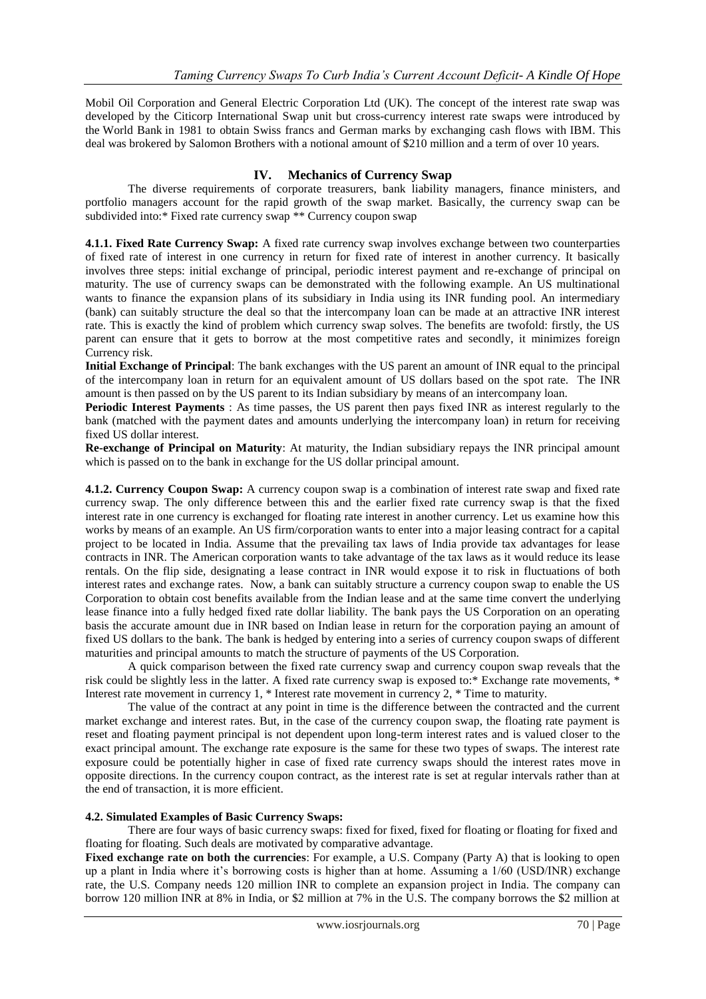Mobil Oil Corporation and General Electric Corporation Ltd (UK). The concept of the interest rate swap was developed by the Citicorp International Swap unit but cross-currency interest rate swaps were introduced by the [World Bank](http://en.wikipedia.org/wiki/World_Bank) in 1981 to obtain Swiss francs and German marks by exchanging cash flows with [IBM.](http://en.wikipedia.org/wiki/IBM) This deal was brokered by Salomon Brothers with a notional amount of \$210 million and a term of over 10 years.

# **IV. Mechanics of Currency Swap**

The diverse requirements of corporate treasurers, bank liability managers, finance ministers, and portfolio managers account for the rapid growth of the swap market. Basically, the currency swap can be subdivided into:\* Fixed rate currency swap \*\* Currency coupon swap

**4.1.1. Fixed Rate Currency Swap:** A fixed rate currency swap involves exchange between two counterparties of fixed rate of interest in one currency in return for fixed rate of interest in another currency. It basically involves three steps: initial exchange of principal, periodic interest payment and re-exchange of principal on maturity. The use of currency swaps can be demonstrated with the following example. An US multinational wants to finance the expansion plans of its subsidiary in India using its INR funding pool. An intermediary (bank) can suitably structure the deal so that the intercompany loan can be made at an attractive INR interest rate. This is exactly the kind of problem which currency swap solves. The benefits are twofold: firstly, the US parent can ensure that it gets to borrow at the most competitive rates and secondly, it minimizes foreign Currency risk.

**Initial Exchange of Principal**: The bank exchanges with the US parent an amount of INR equal to the principal of the intercompany loan in return for an equivalent amount of US dollars based on the spot rate. The INR amount is then passed on by the US parent to its Indian subsidiary by means of an intercompany loan.

**Periodic Interest Payments** : As time passes, the US parent then pays fixed INR as interest regularly to the bank (matched with the payment dates and amounts underlying the intercompany loan) in return for receiving fixed US dollar interest.

**Re-exchange of Principal on Maturity**: At maturity, the Indian subsidiary repays the INR principal amount which is passed on to the bank in exchange for the US dollar principal amount.

**4.1.2. Currency Coupon Swap:** A currency coupon swap is a combination of interest rate swap and fixed rate currency swap. The only difference between this and the earlier fixed rate currency swap is that the fixed interest rate in one currency is exchanged for floating rate interest in another currency. Let us examine how this works by means of an example. An US firm/corporation wants to enter into a major leasing contract for a capital project to be located in India. Assume that the prevailing tax laws of India provide tax advantages for lease contracts in INR. The American corporation wants to take advantage of the tax laws as it would reduce its lease rentals. On the flip side, designating a lease contract in INR would expose it to risk in fluctuations of both interest rates and exchange rates. Now, a bank can suitably structure a currency coupon swap to enable the US Corporation to obtain cost benefits available from the Indian lease and at the same time convert the underlying lease finance into a fully hedged fixed rate dollar liability. The bank pays the US Corporation on an operating basis the accurate amount due in INR based on Indian lease in return for the corporation paying an amount of fixed US dollars to the bank. The bank is hedged by entering into a series of currency coupon swaps of different maturities and principal amounts to match the structure of payments of the US Corporation.

A quick comparison between the fixed rate currency swap and currency coupon swap reveals that the risk could be slightly less in the latter. A fixed rate currency swap is exposed to:\* Exchange rate movements, \* Interest rate movement in currency 1, \* Interest rate movement in currency 2, \* Time to maturity.

The value of the contract at any point in time is the difference between the contracted and the current market exchange and interest rates. But, in the case of the currency coupon swap, the floating rate payment is reset and floating payment principal is not dependent upon long-term interest rates and is valued closer to the exact principal amount. The exchange rate exposure is the same for these two types of swaps. The interest rate exposure could be potentially higher in case of fixed rate currency swaps should the interest rates move in opposite directions. In the currency coupon contract, as the interest rate is set at regular intervals rather than at the end of transaction, it is more efficient.

#### **4.2. Simulated Examples of Basic Currency Swaps:**

There are four ways of basic currency swaps: fixed for fixed, fixed for floating or floating for fixed and floating for floating. Such deals are motivated by comparative advantage.

**Fixed exchange rate on both the currencies**: For example, a U.S. Company (Party A) that is looking to open up a plant in India where it's borrowing costs is higher than at home. Assuming a 1/60 (USD/INR) [exchange](http://www.investopedia.com/terms/e/exchangerate.asp)  [rate,](http://www.investopedia.com/terms/e/exchangerate.asp) the U.S. Company needs 120 million INR to complete an expansion project in India. The company can borrow 120 million INR at 8% in India, or \$2 million at 7% in the U.S. The company borrows the \$2 million at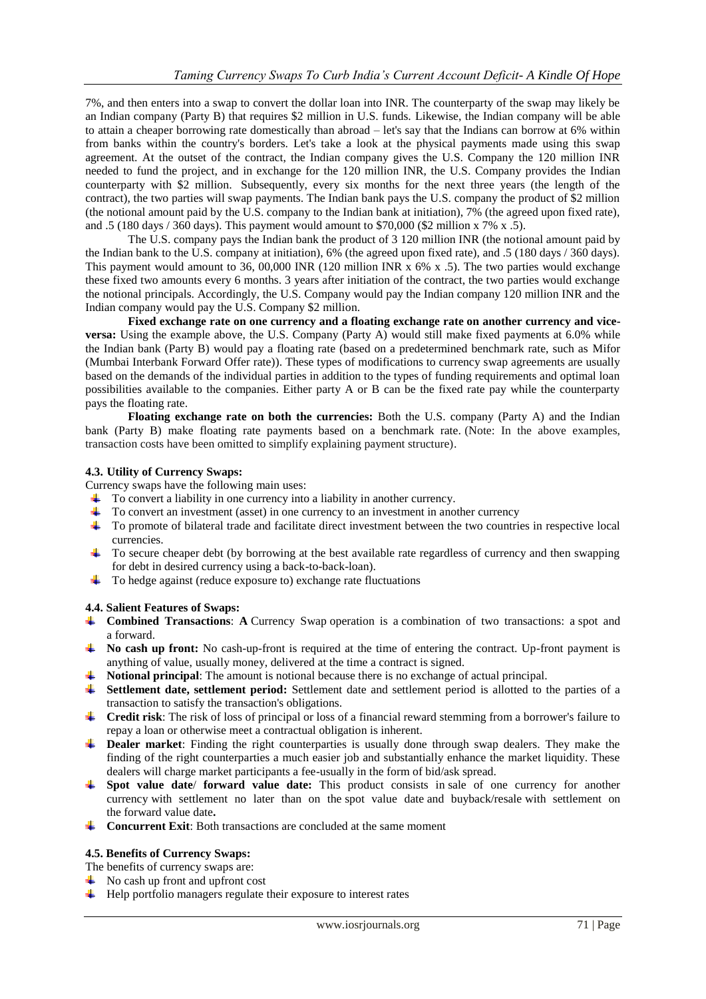7%, and then enters into a swap to convert the dollar loan into INR. The counterparty of the swap may likely be an Indian company (Party B) that requires \$2 million in U.S. funds. Likewise, the Indian company will be able to attain a cheaper borrowing rate domestically than abroad – let's say that the Indians can borrow at 6% within from banks within the country's borders. Let's take a look at the physical payments made using this swap agreement. At the outset of the contract, the Indian company gives the U.S. Company the 120 million INR needed to fund the project, and in exchange for the 120 million INR, the U.S. Company provides the Indian counterparty with \$2 million. Subsequently, every six months for the next three years (the length of the contract), the two parties will swap payments. The Indian bank pays the U.S. company the product of \$2 million (the notional amount paid by the U.S. company to the Indian bank at initiation), 7% (the agreed upon fixed rate), and .5 (180 days / 360 days). This payment would amount to \$70,000 (\$2 million x 7% x .5).

The U.S. company pays the Indian bank the product of 3 120 million INR (the notional amount paid by the Indian bank to the U.S. company at initiation), 6% (the agreed upon fixed rate), and .5 (180 days / 360 days). This payment would amount to 36, 00,000 INR (120 million INR x 6% x .5). The two parties would exchange these fixed two amounts every 6 months. 3 years after initiation of the contract, the two parties would exchange the notional principals. Accordingly, the U.S. Company would pay the Indian company 120 million INR and the Indian company would pay the U.S. Company \$2 million.

**Fixed exchange rate on one currency and a [floating exchange rate](http://www.investopedia.com/terms/f/floatinginterestrate.asp) on another currency and viceversa:** Using the example above, the U.S. Company (Party A) would still make fixed payments at 6.0% while the Indian bank (Party B) would pay a floating rate (based on a predetermined benchmark rate, such as Mifor (Mumbai Interbank Forward Offer rate)). These types of modifications to currency swap agreements are usually based on the demands of the individual parties in addition to the types of funding requirements and optimal loan possibilities available to the companies. Either party A or B can be the fixed rate pay while the counterparty pays the floating rate.

**Floating exchange rate on both the currencies:** Both the U.S. company (Party A) and the Indian bank (Party B) make floating rate payments based on a benchmark rate. (Note: In the above examples, transaction costs have been omitted to simplify explaining payment structure).

## **4.3. Utility of Currency Swaps:**

Currency swaps have the following main uses:

- To convert a liability in one currency into a liability in another currency.
- To convert an investment (asset) in one currency to an investment in another currency
- To promote of bilateral trade and facilitate direct investment between the two countries in respective local currencies.
- $\pm$  To secure cheaper debt (by borrowing at the best available rate regardless of currency and then swapping for debt in desired currency using a back-to-back-loan).
- $\overline{\text{I}}$  To [hedge](http://en.wikipedia.org/wiki/Hedge_(finance)) against (reduce exposure to) exchange rate fluctuations

## **4.4. Salient Features of Swaps:**

- **Combined Transactions: A** Currency Swap operation is a combination of two transactions: a spot and a forward.
- **No cash up front:** No cash-up-front is required at the time of entering the contract. Up-front payment is anything of value, usually money, delivered at the time a contract is signed.
- **Notional principal**: The amount is notional because there is no exchange of actual principal.
- **Settlement date, settlement period:** Settlement date and settlement period is allotted to the parties of a transaction to satisfy the transaction's obligations.
- **Credit risk**: The risk of loss of principal or loss of a financial reward stemming from a borrower's failure to repay a loan or otherwise meet a contractual obligation is inherent.
- **Dealer market:** Finding the right counterparties is usually done through swap dealers. They make the finding of the right counterparties a much easier job and substantially enhance the market liquidity. These dealers will charge market participants a fee-usually in the form of bid/ask spread.
- **Spot value date**/ **forward value date:** This product consists in sale of one currency for another currency with settlement no later than on the spot value date and buyback/resale with settlement on the forward value date**.**
- **↓** Concurrent Exit: Both transactions are concluded at the same moment

#### **4.5. Benefits of Currency Swaps:**

The benefits of currency swaps are:

- $\overline{\phantom{a}}$  No cash up front and upfront cost
- $\downarrow$  Help portfolio managers regulate their exposure to interest rates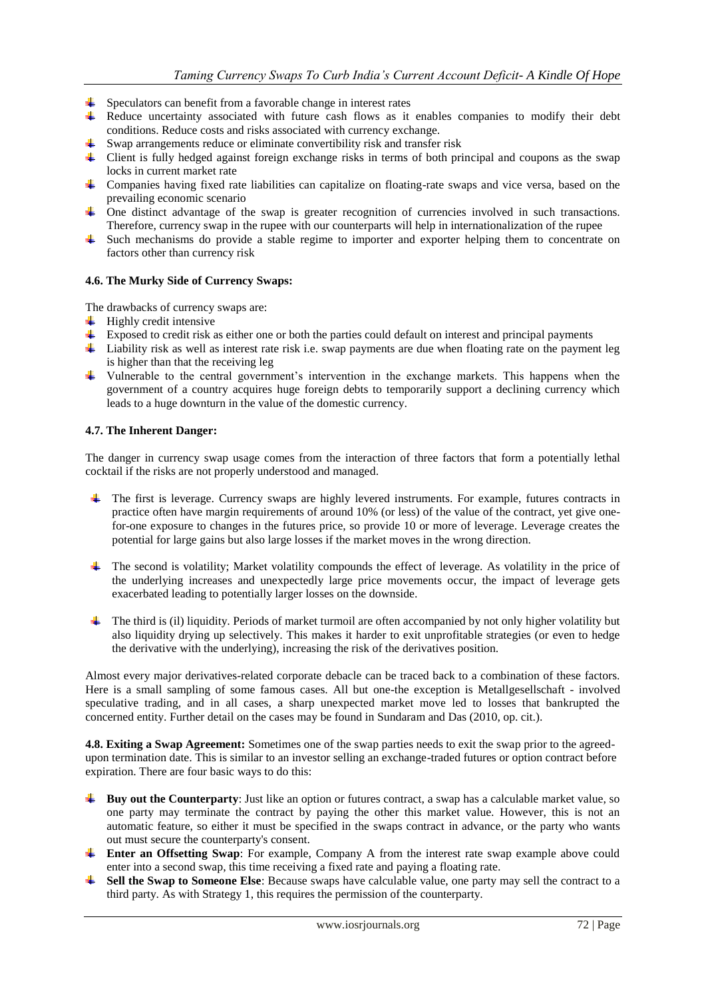- $\frac{1}{\sqrt{1}}$  Speculators can benefit from a favorable change in interest rates
- $\ddot{\bullet}$  Reduce uncertainty associated with future cash flows as it enables companies to modify their debt conditions. Reduce costs and risks associated with currency exchange.
- $\downarrow$  Swap arrangements reduce or eliminate convertibility risk and transfer risk
- Client is fully hedged against foreign exchange risks in terms of both principal and coupons as the swap locks in current market rate
- Companies having fixed rate liabilities can capitalize on floating-rate swaps and vice versa, based on the prevailing economic scenario
- One distinct advantage of the swap is greater recognition of currencies involved in such transactions. Therefore, currency swap in the rupee with our counterparts will help in internationalization of the rupee
- Such mechanisms do provide a stable regime to importer and exporter helping them to concentrate on factors other than currency risk

#### **4.6. The Murky Side of Currency Swaps:**

The drawbacks of currency swaps are:

- $\ddot{\text{+}}$  Highly credit intensive
- Exposed to credit risk as either one or both the parties could default on interest and principal payments
- Liability risk as well as interest rate risk i.e. swap payments are due when floating rate on the payment leg is higher than that the receiving leg
- Vulnerable to the central government's intervention in the exchange markets. This happens when the government of a country acquires huge foreign debts to temporarily support a declining currency which leads to a huge downturn in the value of the domestic currency.

#### **4.7. The Inherent Danger:**

The danger in currency swap usage comes from the interaction of three factors that form a potentially lethal cocktail if the risks are not properly understood and managed.

- The first is leverage. Currency swaps are highly levered instruments. For example, futures contracts in practice often have margin requirements of around 10% (or less) of the value of the contract, yet give onefor-one exposure to changes in the futures price, so provide 10 or more of leverage. Leverage creates the potential for large gains but also large losses if the market moves in the wrong direction.
- The second is volatility; Market volatility compounds the effect of leverage. As volatility in the price of the underlying increases and unexpectedly large price movements occur, the impact of leverage gets exacerbated leading to potentially larger losses on the downside.
- The third is (il) liquidity. Periods of market turmoil are often accompanied by not only higher volatility but also liquidity drying up selectively. This makes it harder to exit unprofitable strategies (or even to hedge the derivative with the underlying), increasing the risk of the derivatives position.

Almost every major derivatives-related corporate debacle can be traced back to a combination of these factors. Here is a small sampling of some famous cases. All but one-the exception is Metallgesellschaft - involved speculative trading, and in all cases, a sharp unexpected market move led to losses that bankrupted the concerned entity. Further detail on the cases may be found in Sundaram and Das (2010, op. cit.).

**4.8. Exiting a Swap Agreement:** Sometimes one of the swap parties needs to exit the swap prior to the agreedupon termination date. This is similar to an investor selling an exchange-traded futures or option contract before expiration. There are four basic ways to do this:

- **Buy out the Counterparty**: Just like an option or futures contract, a swap has a calculable market value, so one party may terminate the contract by paying the other this market value. However, this is not an automatic feature, so either it must be specified in the swaps contract in advance, or the party who wants out must secure the counterparty's consent.
- **Enter an Offsetting Swap**: For example, Company A from the interest rate swap example above could enter into a second swap, this time receiving a fixed rate and paying a floating rate.
- **Sell the Swap to Someone Else**: Because swaps have calculable value, one party may sell the contract to a third party. As with Strategy 1, this requires the permission of the counterparty.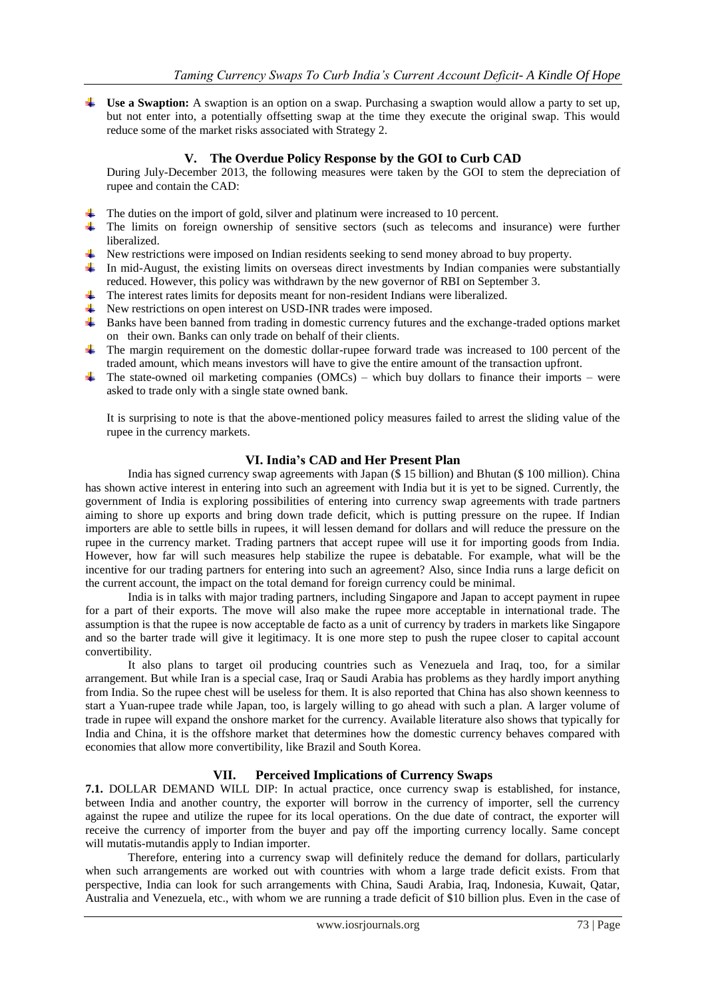**Use a Swaption:** A swaption is an option on a swap. Purchasing a swaption would allow a party to set up, but not enter into, a potentially offsetting swap at the time they execute the original swap. This would reduce some of the market risks associated with Strategy 2.

# **V. The Overdue Policy Response by the GOI to Curb CAD**

During July-December 2013, the following measures were taken by the GOI to stem the depreciation of rupee and contain the CAD:

- $\ddot{\bullet}$  The duties on the import of gold, silver and platinum were increased to 10 percent.
- The limits on foreign ownership of sensitive sectors (such as telecoms and insurance) were further liberalized.
- New restrictions were imposed on Indian residents seeking to send money abroad to buy property.
- In mid-August, the existing limits on overseas direct investments by Indian companies were substantially reduced. However, this policy was withdrawn by the new governor of RBI on September 3.
- $\ddot{\phantom{1}}$  The interest rates limits for deposits meant for non-resident Indians were liberalized.
- ↓ New restrictions on open interest on USD-INR trades were imposed.
- Banks have been banned from trading in domestic currency futures and the exchange-traded options market on their own. Banks can only trade on behalf of their clients.
- $\ddot{\phantom{1}}$  The margin requirement on the domestic dollar-rupee forward trade was increased to 100 percent of the traded amount, which means investors will have to give the entire amount of the transaction upfront.
- The state-owned oil marketing companies ( $OMCs$ ) which buy dollars to finance their imports were asked to trade only with a single state owned bank.

It is surprising to note is that the above-mentioned policy measures failed to arrest the sliding value of the rupee in the currency markets.

## **VI. India's CAD and Her Present Plan**

India has signed currency swap agreements with Japan (\$ 15 billion) and Bhutan (\$ 100 million). China has shown active interest in entering into such an agreement with India but it is yet to be signed. Currently, the government of India is exploring possibilities of entering into currency swap [agreements](http://economictimes.indiatimes.com/topic/currency%20swap%20agreements) with trade partners aiming to shore up exports and bring down trade deficit, which is putting pressure on the rupee. If Indian importers are able to settle bills in rupees, it will lessen demand for dollars and will reduce the pressure on the rupee in the currency market. Trading partners that accept rupee will use it for importing goods from India. However, how far will such measures help stabilize the rupee is debatable. For example, what will be the incentive for our trading partners for entering into such an agreement? Also, since India runs a large deficit on the current account, the impact on the total demand for foreign currency could be minimal.

India is in talks with major trading partners, including Singapore and Japan to accept payment in rupee for a part of their exports. The move will also make the rupee more acceptable in international trade. The assumption is that the rupee is now acceptable de facto as a unit of currency by traders in markets like Singapore and so the barter trade will give it legitimacy. It is one more step to push the rupee closer to capital account convertibility.

It also plans to target oil producing countries such as Venezuela and Iraq, too, for a similar arrangement. But while Iran is a special case, Iraq or Saudi Arabia has problems as they hardly import anything from India. So the rupee chest will be useless for them. It is also reported that China has also shown keenness to start a Yuan-rupee trade while Japan, too, is largely willing to go ahead with such a plan. A larger volume of trade in rupee will expand the onshore market for the currency. Available literature also shows that typically for India and China, it is the offshore market that determines how the domestic currency behaves compared with economies that allow more convertibility, like Brazil and South Korea.

## **VII. Perceived Implications of Currency Swaps**

**7.1.** DOLLAR DEMAND WILL DIP: In actual practice, once currency swap is established, for instance, between India and another country, the exporter will borrow in the currency of importer, sell the currency against the rupee and utilize the rupee for its local operations. On the due date of contract, the exporter will receive the currency of importer from the buyer and pay off the importing currency locally. Same concept will mutatis-mutandis apply to Indian importer.

Therefore, entering into a currency swap will definitely reduce the demand for dollars, particularly when such arrangements are worked out with countries with whom a large trade deficit exists. From that perspective, India can look for such arrangements with China, Saudi Arabia, Iraq, Indonesia, Kuwait, Qatar, Australia and Venezuela, etc., with whom we are running a trade deficit of \$10 billion plus. Even in the case of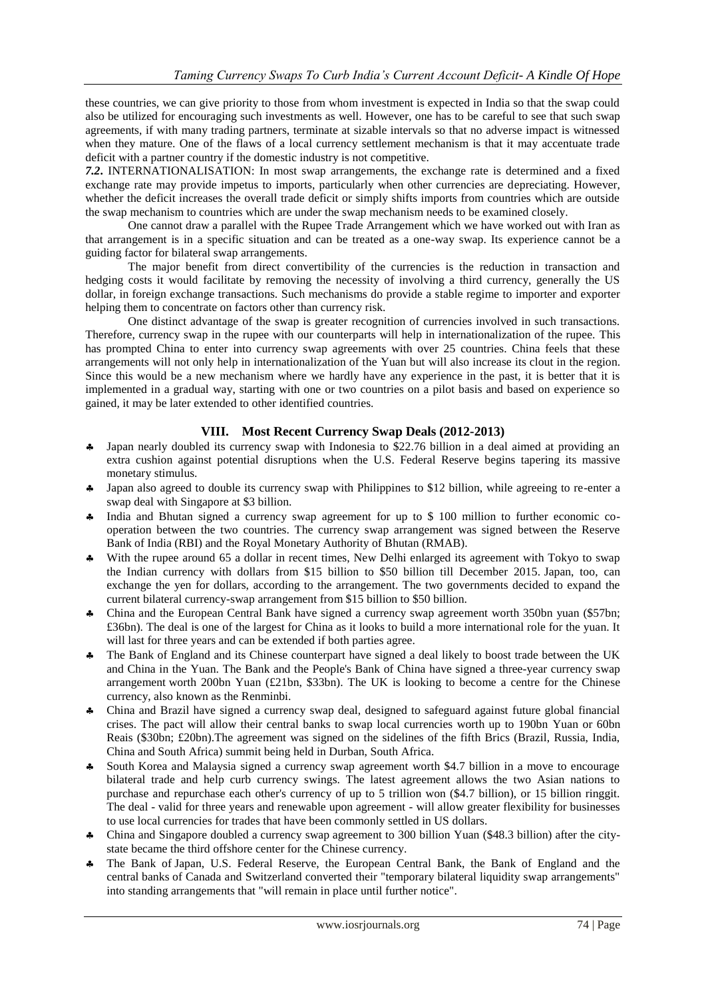these countries, we can give priority to those from whom investment is expected in India so that the swap could also be utilized for encouraging such investments as well. However, one has to be careful to see that such swap agreements, if with many trading partners, terminate at sizable intervals so that no adverse impact is witnessed when they mature. One of the flaws of a local currency settlement mechanism is that it may accentuate trade deficit with a partner country if the domestic industry is not competitive.

*7.2***.** INTERNATIONALISATION: In most swap arrangements, the exchange rate is determined and a fixed exchange rate may provide impetus to imports, particularly when other currencies are depreciating. However, whether the deficit increases the overall trade deficit or simply shifts imports from countries which are outside the swap mechanism to countries which are under the swap mechanism needs to be examined closely.

One cannot draw a parallel with the Rupee Trade Arrangement which we have worked out with Iran as that arrangement is in a specific situation and can be treated as a one-way swap. Its experience cannot be a guiding factor for bilateral swap arrangements.

The major benefit from direct convertibility of the currencies is the reduction in transaction and hedging costs it would facilitate by removing the necessity of involving a third currency, generally the US dollar, in foreign exchange transactions. Such mechanisms do provide a stable regime to importer and exporter helping them to concentrate on factors other than currency risk.

One distinct advantage of the swap is greater recognition of currencies involved in such transactions. Therefore, currency swap in the rupee with our counterparts will help in internationalization of the rupee. This has prompted China to enter into currency swap agreements with over 25 countries. China feels that these arrangements will not only help in internationalization of the Yuan but will also increase its clout in the region. Since this would be a new mechanism where we hardly have any experience in the past, it is better that it is implemented in a gradual way, starting with one or two countries on a pilot basis and based on experience so gained, it may be later extended to other identified countries.

## **VIII. Most Recent Currency Swap Deals (2012-2013)**

- Japan nearly doubled its currency swap with Indonesia to \$22.76 billion in a deal aimed at providing an extra cushion against potential disruptions when the U.S. Federal Reserve begins tapering its massive monetary stimulus.
- Japan also agreed to double its currency swap with Philippines to \$12 billion, while agreeing to re-enter a swap deal with Singapore at \$3 billion.
- India and Bhutan signed a currency swap agreement for up to \$ 100 million to further economic cooperation between the two countries. The currency swap arrangement was signed between the Reserve Bank of India (RBI) and the Royal Monetary Authority of Bhutan (RMAB).
- With the rupee around 65 a dollar in recent times, New Delhi enlarged its agreement with Tokyo to swap the Indian currency with dollars from \$15 billion to \$50 billion till December 2015. [Japan,](http://www.business-standard.com/search?type=news&q=Japan) too, can exchange the yen for dollars, according to the arrangement. The two governments decided to expand the current bilateral currency-swap arrangement from \$15 billion to \$50 billion.
- China and the European Central Bank have signed a currency swap agreement worth 350bn yuan (\$57bn; £36bn). The deal is one of the largest for China as it looks to build a more international role for the yuan. It will last for three years and can be extended if both parties agree.
- \* The Bank of England and its Chinese counterpart have signed a deal likely to boost trade between the UK and China in the Yuan. [The Bank and the People's Bank of China have](http://www.bankofengland.co.uk/publications/Pages/news/2013/082.aspx) signed a three-year currency swap [arrangement](http://www.bankofengland.co.uk/publications/Pages/news/2013/082.aspx) worth 200bn Yuan (£21bn, \$33bn). The UK is looking to become a centre for the Chinese currency, also known as the Renminbi.
- China and Brazil have signed a currency swap deal, designed to safeguard against future global financial crises. The pact will allow their central banks to swap local currencies worth up to 190bn Yuan or 60bn Reais (\$30bn; £20bn).The agreement was signed on the sidelines of the fifth Brics (Brazil, Russia, India, China and South Africa) summit being held in Durban, South Africa.
- South Korea and Malaysia signed a currency swap agreement worth \$4.7 billion in a move to encourage bilateral trade and help curb currency swings. The latest agreement allows the two Asian nations to purchase and repurchase each other's currency of up to 5 trillion won (\$4.7 billion), or 15 billion ringgit. The deal - valid for three years and renewable upon agreement - will allow greater flexibility for businesses to use local currencies for trades that have been commonly settled in US dollars.
- China and Singapore doubled a [currency swap](http://topics.bloomberg.com/currency-swap/) agreement to 300 billion Yuan (\$48.3 billion) after the citystate became the third offshore center for the Chinese currency.
- The Bank of [Japan,](http://www.reuters.com/places/japan) U.S. Federal Reserve, the European Central Bank, the Bank of England and the central [banks](http://www.reuters.com/sectors/industries/overview?industryCode=128&lc=int_mb_1001) of Canada and Switzerland converted their "temporary bilateral liquidity swap arrangements" into standing arrangements that "will remain in place until further notice".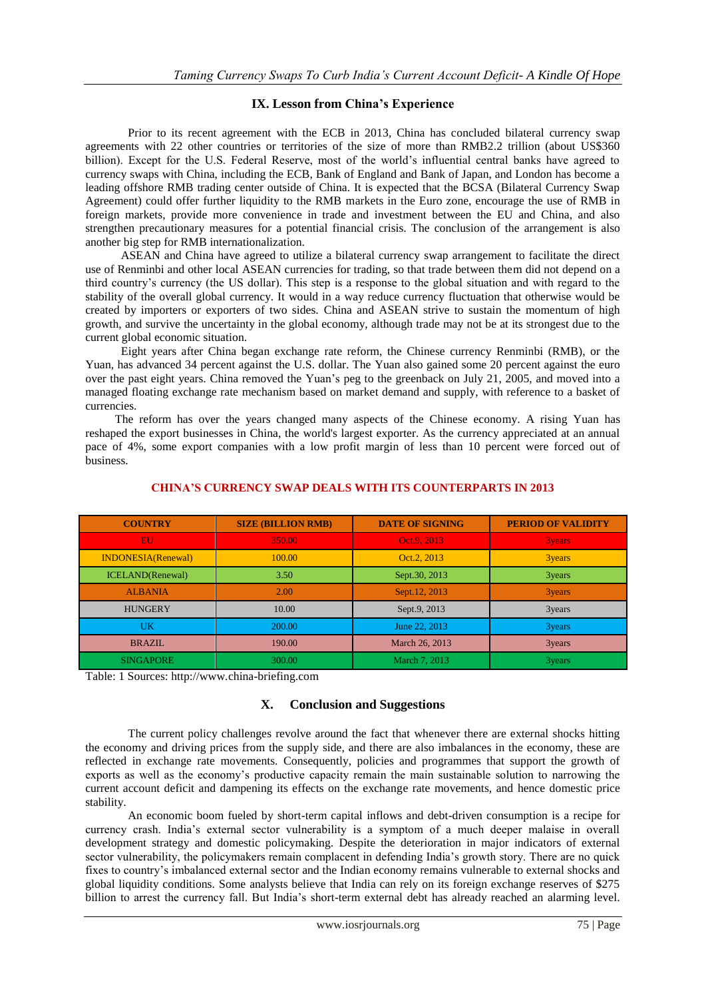# **IX. Lesson from China's Experience**

Prior to its recent agreement with the ECB in 2013, China has concluded bilateral currency swap agreements with 22 other countries or territories of the size of more than RMB2.2 trillion (about US\$360 billion). Except for the U.S. Federal Reserve, most of the world's influential central banks have agreed to currency swaps with China, including the ECB, Bank of England and Bank of Japan, and London has become a leading offshore RMB trading center outside of China. It is expected that the BCSA (Bilateral Currency Swap Agreement) could offer further liquidity to the RMB markets in the Euro zone, encourage the use of RMB in foreign markets, provide more convenience in trade and investment between the EU and China, and also strengthen precautionary measures for a potential financial crisis. The conclusion of the arrangement is also another big step for RMB internationalization.

 ASEAN and China have agreed to utilize a bilateral currency swap arrangement to facilitate the direct use of Renminbi and other local ASEAN currencies for trading, so that trade between them did not depend on a third country's currency (the US dollar). This step is a response to the global situation and with regard to the stability of the overall global currency. It would in a way reduce currency fluctuation that otherwise would be created by importers or exporters of two sides. China and ASEAN strive to sustain the momentum of high growth, and survive the uncertainty in the global economy, although trade may not be at its strongest due to the current global economic situation.

 Eight years after China began exchange rate reform, the Chinese currency Renminbi (RMB), or the Yuan, has advanced 34 percent against the U.S. dollar. The Yuan also gained some 20 percent against the euro over the past eight years. China removed the Yuan's peg to the greenback on July 21, 2005, and moved into a managed floating exchange rate mechanism based on market demand and supply, with reference to a basket of currencies.

 The reform has over the years changed many aspects of the Chinese economy. A rising Yuan has reshaped the export businesses in China, the world's largest exporter. As the currency appreciated at an annual pace of 4%, some export companies with a low profit margin of less than 10 percent were forced out of business.

| <b>COUNTRY</b>            | <b>SIZE (BILLION RMB)</b> | <b>DATE OF SIGNING</b> | <b>PERIOD OF VALIDITY</b> |
|---------------------------|---------------------------|------------------------|---------------------------|
| EU.                       | 350.00                    | Oct.9, 2013            | 3years                    |
| <b>INDONESIA(Renewal)</b> | 100.00                    | Oct.2, 2013            | 3years                    |
| <b>ICELAND</b> (Renewal)  | 3.50                      | Sept.30, 2013          | 3years                    |
| <b>ALBANIA</b>            | 2.00                      | Sept.12, 2013          | 3years                    |
| <b>HUNGERY</b>            | 10.00                     | Sept.9, 2013           | 3years                    |
| UK                        | 200.00                    | June 22, 2013          | 3years                    |
| BRAZIL                    | 190.00                    | March 26, 2013         | 3years                    |
| <b>SINGAPORE</b>          | 300.00                    | March 7, 2013          | 3years                    |

## **CHINA'S CURRENCY SWAP DEALS WITH ITS COUNTERPARTS IN 2013**

Table: 1 Sources: [http://www.china-briefing.com](http://www.china-briefing.com/)

## **X. Conclusion and Suggestions**

The current policy challenges revolve around the fact that whenever there are external shocks hitting the economy and driving prices from the supply side, and there are also imbalances in the economy, these are reflected in exchange rate movements. Consequently, policies and programmes that support the growth of exports as well as the economy's productive capacity remain the main sustainable solution to narrowing the current account deficit and dampening its effects on the exchange rate movements, and hence domestic price stability.

An economic boom fueled by short-term capital inflows and debt-driven consumption is a recipe for currency crash. India's external sector vulnerability is a symptom of a much deeper malaise in overall development strategy and domestic policymaking. Despite the deterioration in major indicators of external sector vulnerability, the policymakers remain complacent in defending India's growth story. There are no quick fixes to country's imbalanced external sector and the Indian economy remains vulnerable to external shocks and global liquidity conditions. Some analysts believe that India can rely on its foreign exchange reserves of \$275 billion to arrest the currency fall. But India's short-term external debt has already reached an alarming level.